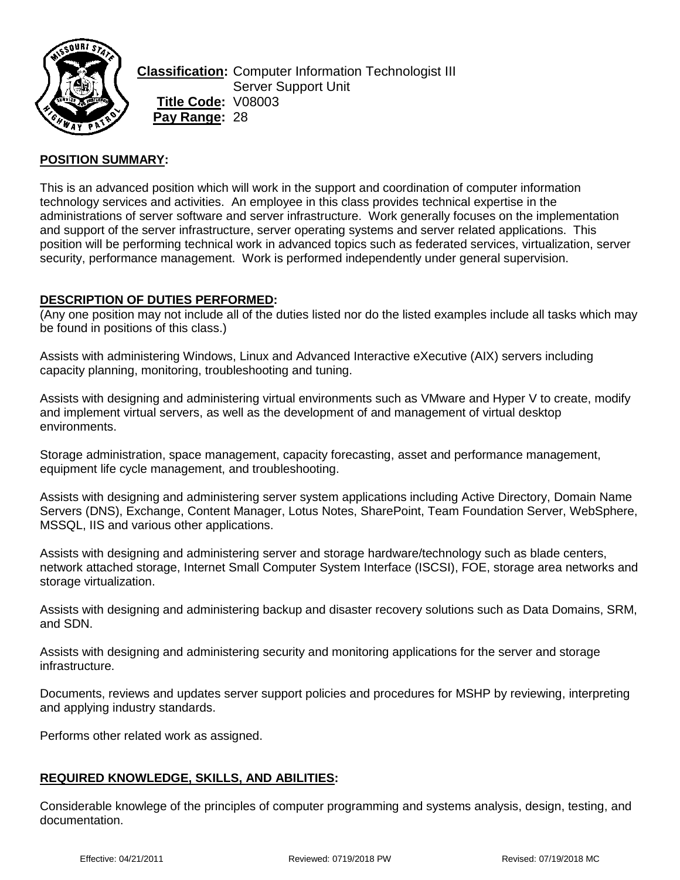

**Classification:** Computer Information Technologist III Server Support Unit **Title Code:** V08003 **Pay Range:** 28

## **POSITION SUMMARY:**

This is an advanced position which will work in the support and coordination of computer information technology services and activities. An employee in this class provides technical expertise in the administrations of server software and server infrastructure. Work generally focuses on the implementation and support of the server infrastructure, server operating systems and server related applications. This position will be performing technical work in advanced topics such as federated services, virtualization, server security, performance management. Work is performed independently under general supervision.

### **DESCRIPTION OF DUTIES PERFORMED:**

(Any one position may not include all of the duties listed nor do the listed examples include all tasks which may be found in positions of this class.)

Assists with administering Windows, Linux and Advanced Interactive eXecutive (AIX) servers including capacity planning, monitoring, troubleshooting and tuning.

Assists with designing and administering virtual environments such as VMware and Hyper V to create, modify and implement virtual servers, as well as the development of and management of virtual desktop environments.

Storage administration, space management, capacity forecasting, asset and performance management, equipment life cycle management, and troubleshooting.

Assists with designing and administering server system applications including Active Directory, Domain Name Servers (DNS), Exchange, Content Manager, Lotus Notes, SharePoint, Team Foundation Server, WebSphere, MSSQL, IIS and various other applications.

Assists with designing and administering server and storage hardware/technology such as blade centers, network attached storage, Internet Small Computer System Interface (ISCSI), FOE, storage area networks and storage virtualization.

Assists with designing and administering backup and disaster recovery solutions such as Data Domains, SRM, and SDN.

Assists with designing and administering security and monitoring applications for the server and storage infrastructure.

Documents, reviews and updates server support policies and procedures for MSHP by reviewing, interpreting and applying industry standards.

Performs other related work as assigned.

## **REQUIRED KNOWLEDGE, SKILLS, AND ABILITIES:**

Considerable knowlege of the principles of computer programming and systems analysis, design, testing, and documentation.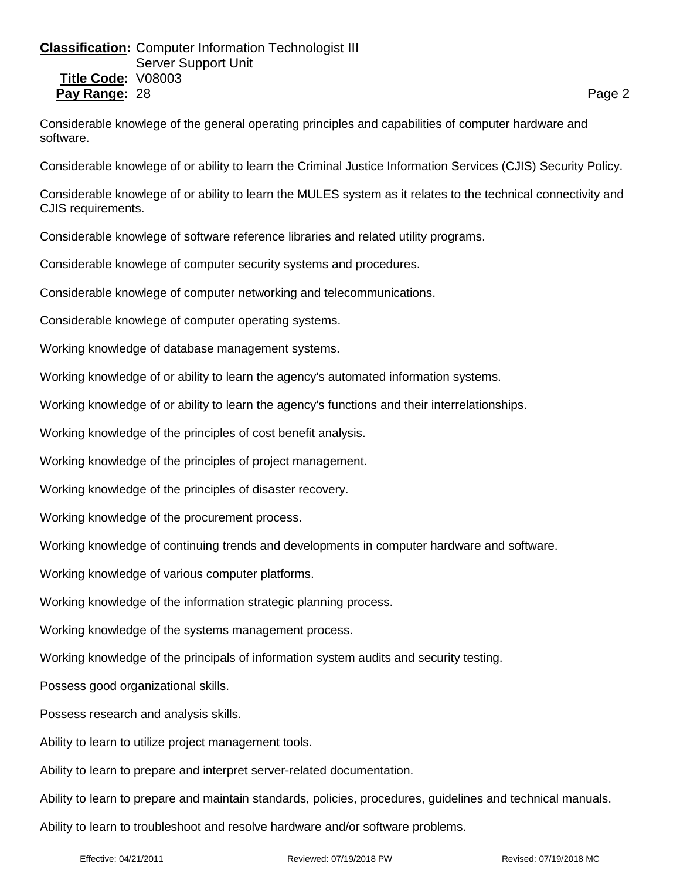# **Classification:** Computer Information Technologist III Server Support Unit **Title Code:** V08003 **Pay Range:** 28 **Page 20 Page 20 Page 20 Page 20 Page 20 Page 20 Page 20 Page 20 Page 20 Page 20 Page 20 Page 20 Page 20 Page 20 Page 20 Page 20 Page 20 Page 20 Page 20 Page 20 Page 20 Page 20 Page 20 Page 20 Page 20 Page**

Considerable knowlege of the general operating principles and capabilities of computer hardware and software.

Considerable knowlege of or ability to learn the Criminal Justice Information Services (CJIS) Security Policy.

Considerable knowlege of or ability to learn the MULES system as it relates to the technical connectivity and CJIS requirements.

Considerable knowlege of software reference libraries and related utility programs.

Considerable knowlege of computer security systems and procedures.

Considerable knowlege of computer networking and telecommunications.

Considerable knowlege of computer operating systems.

Working knowledge of database management systems.

Working knowledge of or ability to learn the agency's automated information systems.

Working knowledge of or ability to learn the agency's functions and their interrelationships.

Working knowledge of the principles of cost benefit analysis.

Working knowledge of the principles of project management.

Working knowledge of the principles of disaster recovery.

Working knowledge of the procurement process.

Working knowledge of continuing trends and developments in computer hardware and software.

Working knowledge of various computer platforms.

Working knowledge of the information strategic planning process.

Working knowledge of the systems management process.

Working knowledge of the principals of information system audits and security testing.

Possess good organizational skills.

Possess research and analysis skills.

Ability to learn to utilize project management tools.

Ability to learn to prepare and interpret server-related documentation.

Ability to learn to prepare and maintain standards, policies, procedures, guidelines and technical manuals.

Ability to learn to troubleshoot and resolve hardware and/or software problems.